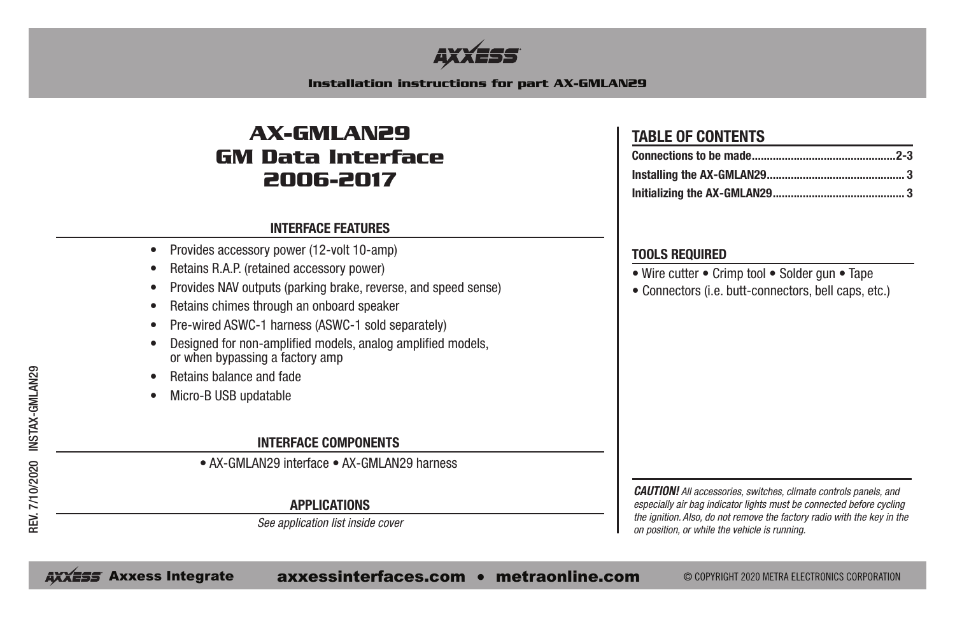

#### **Installation instructions for part AX-GMLAN29**

# **AX-GMLAN29 GM Data Interface 2006-2017**

#### **INTERFACE FEATURES**

- Provides accessory power (12-volt 10-amp)
- Retains R.A.P. (retained accessory power)
- Provides NAV outputs (parking brake, reverse, and speed sense)
- Retains chimes through an onboard speaker
- Pre-wired ASWC-1 harness (ASWC-1 sold separately)
- Designed for non-amplified models, analog amplified models, or when bypassing a factory amp
- Retains balance and fade
- Micro-B USB updatable

### **INTERFACE COMPONENTS**

• AX-GMLAN29 interface • AX-GMLAN29 harness

#### **APPLICATIONS**

*See application list inside cover*

## **TABLE OF CONTENTS**

#### **TOOLS REQUIRED**

- Wire cutter Crimp tool Solder gun Tape
- Connectors (i.e. butt-connectors, bell caps, etc.)

*CAUTION! All accessories, switches, climate controls panels, and especially air bag indicator lights must be connected before cycling the ignition. Also, do not remove the factory radio with the key in the on position, or while the vehicle is running.*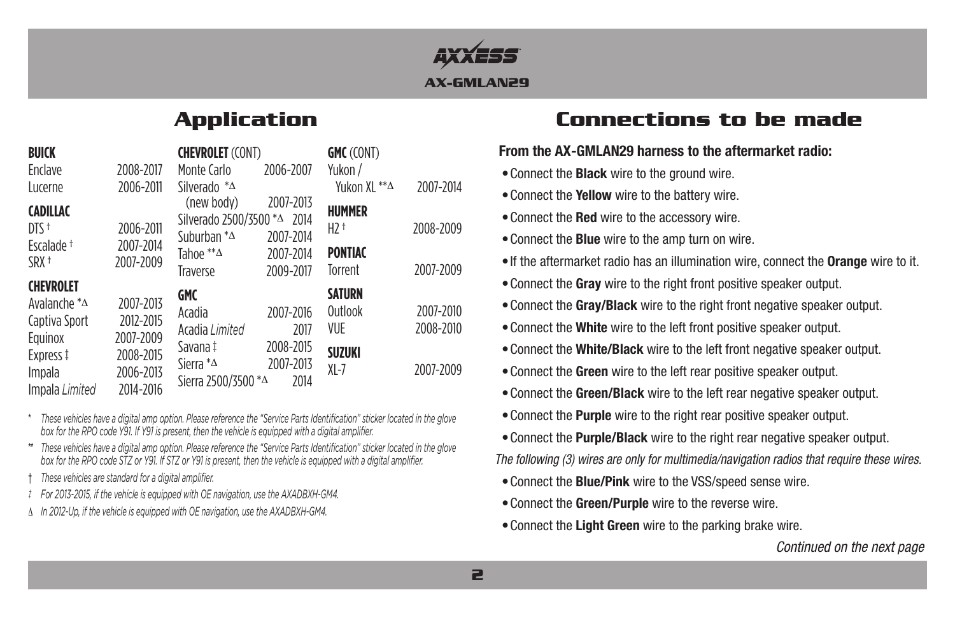

| <b>BUICK</b><br>Enclave<br>Lucerne                                                                                   | 2008-2017<br>2006-2011                                                     | <b>CHEVROLET (CONT)</b><br>Monte Carlo<br>Silverado $^*\Delta$                                               | 2006-2007                                           | <b>GMC</b> (CONT)<br>Yukon /<br>Yukon XL **^                        | 2007-2014                           |
|----------------------------------------------------------------------------------------------------------------------|----------------------------------------------------------------------------|--------------------------------------------------------------------------------------------------------------|-----------------------------------------------------|---------------------------------------------------------------------|-------------------------------------|
| <b>CADILLAC</b><br>$DTS$ <sup>+</sup><br>Fscalade <sup>+</sup><br>SRX <sup>+</sup>                                   | 2006-2011<br>2007-2014<br>2007-2009                                        | (new body)<br>Silverado 2500/3500 *△ 2014<br>Suburban $^*$ $\Delta$<br>Tahoe $^{**}\Delta$<br>Traverse       | 2007-2013<br>2007-2014<br>2007-2014<br>2009-2017    | <b>HUMMER</b><br>$H2$ <sup>+</sup><br><b>PONTIAC</b><br>Torrent     | 2008-2009<br>2007-2009              |
| <b>CHEVROLET</b><br>Avalanche $* \Delta$<br>Captiva Sport<br>Equinox<br>Express ‡<br><i>Impala</i><br>Impala Limited | 2007-2013<br>2012-2015<br>2007-2009<br>2008-2015<br>2006-2013<br>2014-2016 | <b>GMC</b><br>Acadia<br>Acadia Limited<br>Savana‡<br>Sierra * <sup>^</sup><br>Sierra 2500/3500 * $\triangle$ | 2007-2016<br>2017<br>2008-2015<br>2007-2013<br>2014 | <b>SATURN</b><br>Outlook<br><b>VUE</b><br><b>SUZUKI</b><br>$XI - 7$ | 2007-2010<br>2008-2010<br>2007-2009 |

These vehicles have a digital amp option. Please reference the "Service Parts Identification" sticker located in the glove box for the RPO code Y91. If Y91 is present, then the vehicle is equipped with a digital amplifier.

\*\* These vehicles have a digital amp option. Please reference the "Service Parts Identification" sticker located in the glove box for the RPO code STZ or Y91. If STZ or Y91 is present, then the vehicle is equipped with a digital amplifier.

- † *These vehicles are standard for a digital amplifier.*
- *‡ For 2013-2015, if the vehicle is equipped with OE navigation, use the AXADBXH-GM4.*
- ∆ *In 2012-Up, if the vehicle is equipped with OE navigation, use the AXADBXH-GM4.*

# **Application Connections to be made**

### **From the AX-GMLAN29 harness to the aftermarket radio:**

- •Connect the **Black** wire to the ground wire.
- •Connect the **Yellow** wire to the battery wire.
- •Connect the **Red** wire to the accessory wire.
- •Connect the **Blue** wire to the amp turn on wire.
- •If the aftermarket radio has an illumination wire, connect the **Orange** wire to it.
- •Connect the **Gray** wire to the right front positive speaker output.
- •Connect the **Gray/Black** wire to the right front negative speaker output.
- •Connect the **White** wire to the left front positive speaker output.
- •Connect the **White/Black** wire to the left front negative speaker output.
- •Connect the **Green** wire to the left rear positive speaker output.
- •Connect the **Green/Black** wire to the left rear negative speaker output.
- •Connect the **Purple** wire to the right rear positive speaker output.
- •Connect the **Purple/Black** wire to the right rear negative speaker output.

*The following (3) wires are only for multimedia/navigation radios that require these wires.*

- •Connect the **Blue/Pink** wire to the VSS/speed sense wire.
- •Connect the **Green/Purple** wire to the reverse wire.
- •Connect the **Light Green** wire to the parking brake wire.

*Continued on the next page*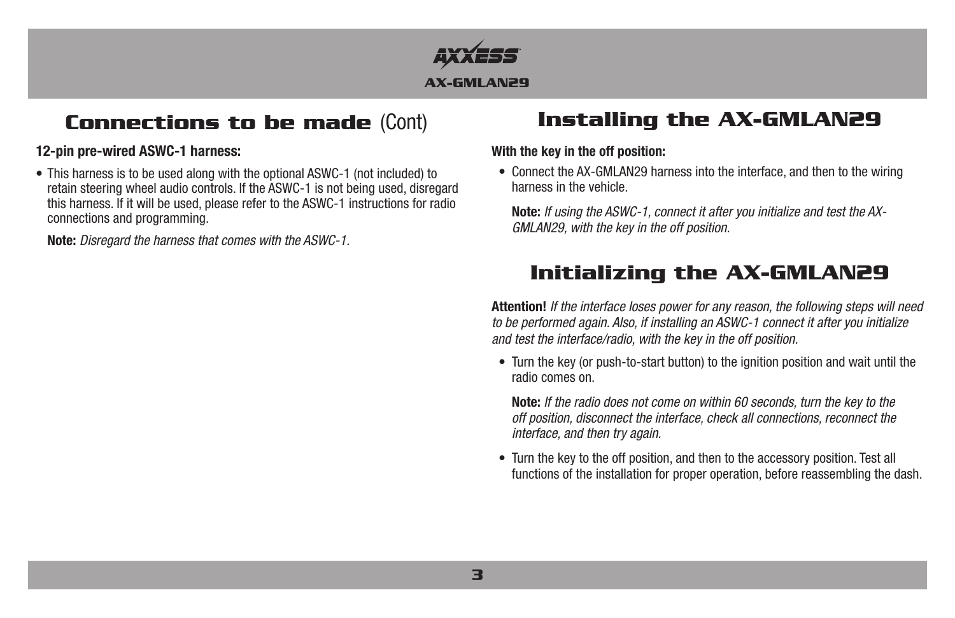

# **Connections to be made** (Cont) **Installing the AX-GMLAN29**

### **12-pin pre-wired ASWC-1 harness:**

• This harness is to be used along with the optional ASWC-1 (not included) to retain steering wheel audio controls. If the ASWC-1 is not being used, disregard this harness. If it will be used, please refer to the ASWC-1 instructions for radio connections and programming.

**Note:** *Disregard the harness that comes with the ASWC-1.*

#### **With the key in the off position:**

• Connect the AX-GMLAN29 harness into the interface, and then to the wiring harness in the vehicle.

**Note:** *If using the ASWC-1, connect it after you initialize and test the AX-GMLAN29, with the key in the off position.*

# **Initializing the AX-GMLAN29**

**Attention!** *If the interface loses power for any reason, the following steps will need to be performed again. Also, if installing an ASWC-1 connect it after you initialize and test the interface/radio, with the key in the off position.*

• Turn the key (or push-to-start button) to the ignition position and wait until the radio comes on.

**Note:** *If the radio does not come on within 60 seconds, turn the key to the off position, disconnect the interface, check all connections, reconnect the interface, and then try again.*

• Turn the key to the off position, and then to the accessory position. Test all functions of the installation for proper operation, before reassembling the dash.